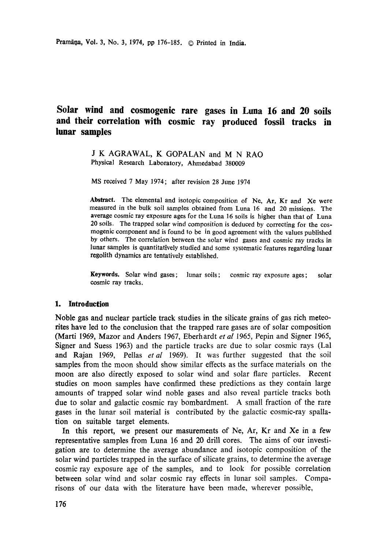# **Solar wind and cosmogenic rare gases in Luna 16 and 20 soils and their correlation with cosmic ray produced fossil tracks in lunar samples**

J K AGRAWAL, K GOPALAN and M N RAO Physical Research Laboratory, Ahmedabad 380009

MS received 7 May 1974; after revision 28 June 1974

**Abstract.** The elemental and isotopic composition of Ne, Ar, Kr and Xe were measured in the bulk soil samples obtained from Luna 16 and 20 missions. The average cosmic ray exposure ages for the Luna 16 soils is higher than that of Luna 20 soils. The trapped solar wind composition is deduced by correcting for the cosmogenic component and is found to be in good agreement with the values published by others. The correlation between the solar wind gases and cosmic ray tracks in lunar samples is quantitatively studied and some systematic features regarding lunar **regolith** dynamics are tentatively established.

**Keywords.** Solar wind gases; lunar soils; cosmic ray exposure ages; solar cosmic ray tracks.

#### **1. Introduction**

Noble gas and nuclear particle track studies in the silicate grains of gas rich meteorites have led to the conclusion that the trapped rare gases are of solar composition (Marti 1969, Mazor and Anders 1967, Eberhardt *et al* 1965, Pepin and Signer 1965, Signer and Suess 1963) and the particle tracks are due to solar cosmic rays (Lal and Rajan 1969, Pellas *etal* 1969). It was further suggested that the soil samples from the moon should show similar effects as the surface materials on the moon are also directly exposed to solar wind and solar flare particles. Recent studies on moon samples have confirmed these predictions as they contain large amounts of trapped solar wind noble gases and also reveal particle tracks both due to solar and galactic cosmic ray bombardment. A small fraction of the rare gases in the lunar soil material is contributed by the galactic cosmic-ray spallation on suitable target elements.

In this report, we present our masurements of Ne, Ar, Kr and Xe in a few representative samples from Luna 16 and 20 drill cores. The aims of our investigation are to determine the average abundance and isotopic composition of the solar wind particles trapped in the surface of silicate grains, to determine the average cosmic ray exposure age of the samples, and to look for possible correlation between solar wind and solar cosmic ray effects in lunar soil samples. Comparisons of our data with the literature have been made, wherever possible,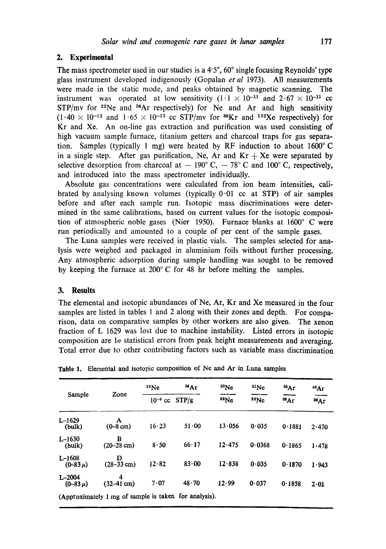### 2. Experimental

The mass spectrometer used in our studies is a  $4.5$ ",  $60^{\circ}$  single focusing Reynolds' type glass instrument developed indigenously (Gopalan *et al* 1973). All measurements were made in the static mode, and peaks obtained by magnetic scanning. The instrument was operated at low sensitivity  $(1 \cdot 1 \times 10^{-11} \text{ and } 2 \cdot 67 \times 10^{-11} \text{ cc}$  $STP/mv$  for <sup>22</sup>Ne and <sup>36</sup>Ar respectively) for Ne and Ar and high sensitivity  $(1.40 \times 10^{-12}$  and  $1.65 \times 10^{-13}$  cc STP/mv for <sup>86</sup>Kr and <sup>132</sup>Xe respectively) for Kr and Xe. An on-line gas extraction and purification was used consisting of high vacuum sample furnace, titanium getters and charcoal traps for gas separation. Samples (typically 1 mg) were heated by RF induction to about 1600°C in a single step. After gas purification, Ne, Ar and  $Kr + Xe$  were separated by selective desorption from charcoal at  $-190^\circ$  C,  $-78^\circ$  C and 100° C, respectively, and introduced into the mass spectrometer individually.

Absolute gas concentrations were calculated from ion beam intensities, calibrated by analysing known volumes (typically  $0.01$  cc at STP) of air samples before and after each sample run. Isotopic mass discriminations were determined in the same calibrations, based on current values for the isotopic composition of atmospheric noble gases (Nier 1950). Furnace blanks at  $1600^{\circ}$  C were run periodically and amounted to a couple of per cent of the sample gases.

The Luna samples were received in plastic vials. The samples selected for analysis were weighed and packaged in aluminium foils without further processing. Any atmospheric adsorption during sample handling was sought to be removed by keeping the furnace at  $200^{\circ}$  C for 48 hr before melting the samples.

#### **3. Results**

The elemental and isotopic abundances of Ne, Ar, Kr and Xe measured in the four samples are listed in tables 1 and 2 along with their zones and depth. For comparison, data on comparative samples by other workers are also given. The xenon fraction of L 1629 was lost due to machine instability. Listed errors in isotopic composition are  $1\sigma$  statistical errors from peak height measurements and averaging. Total error due to other contributing factors such as variable mass discrimination

| Zone                      | 22Ne                  | 36Ar          | $^{20}$ Ne | $^{21}Ne$ | ${}^{38}Ar$ | 40Ar          |
|---------------------------|-----------------------|---------------|------------|-----------|-------------|---------------|
|                           | $10^{-5}$ cc<br>STP/g |               | 22Ne       | 22Ne      | 36Ar        | $36\text{Ar}$ |
| A<br>$(0-8$ cm)           | 16.23                 | 51.00         | 13.056     | 0.035     | 0.1881      | 2.470         |
| в<br>$(20-28 \text{ cm})$ | 8.50                  | $66 \cdot 17$ | 12.475     | 0.0368    | 0.1865      | 1.478         |
| D<br>$(28-33$ cm)         | 12.82                 | $83 - 00$     | 12.838     | 0.035     | 0.1870      | 1.943         |
| 4<br>$(32-41$ cm)         | 7.07                  | 48.70         | 12.99      | 0.037     | 0.1858      | 2.01          |
|                           |                       |               |            |           |             |               |

Table 1. Elemental and isotopic composition of Ne and Ar in Luna samples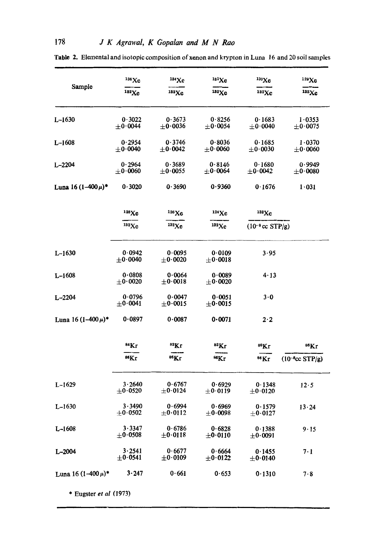|                           | 136 Xe                         | $^{134}\text{Xe}$              | 181Xe                          | 130Xe                          | 129Xe                          |
|---------------------------|--------------------------------|--------------------------------|--------------------------------|--------------------------------|--------------------------------|
| Sample                    | 132Xe                          | 182Xe                          | $132$ Xe                       | 132Xe                          | 132Xe                          |
| $L - 1630$                | 0.3022<br>$\pm$ 0.0044         | 0.3673<br>$\pm$ 0 $\cdot$ 0036 | 0.8256<br>$\pm 0.0054$         | 0.1683<br>$\pm$ 0.0040         | 1.0353<br>$\pm 0.0075$         |
| $L - 1608$                | 0.2954<br>$+0.0040$            | 0.3746<br>$\pm$ 0.0042         | 0.8036<br>$\pm$ 0.0060         | 0.1685<br>$\pm 0.0030$         | 1.0370<br>$\pm 0.0060$         |
| $L - 2204$                | 0.2964<br>$\pm 0.0060$         | 0.3689<br>$\pm 0.0055$         | 0.8146<br>$\pm$ 0.0064         | 0.1680<br>$\pm 0.0042$         | 0.9949<br>$\pm$ 0 $\cdot$ 0080 |
| Luna 16 $(1-400 \mu)^*$   | 0.3020                         | 0.3690                         | 0.9360                         | 0.1676                         | 1.031                          |
|                           | 128Xe                          | $^{126}\text{Xe}$              | $124$ Xe                       | 132Xe                          |                                |
|                           | 132Xe                          | $^{132}$ Xe                    | 132Xe                          | $(10^{-8} \text{cc STP/g})$    |                                |
| $L-1630$                  | 0.0942<br>$\pm 0.0040$         | 0.0095<br>$\pm$ 0.0020         | 0.0109<br>$\pm$ 0 $\cdot$ 0018 | 3.95                           |                                |
| $L - 1608$                | 0.0808<br>$\pm$ 0 $\cdot$ 0020 | 0.0064<br>$\pm 0.0018$         | 0.0089<br>$\pm$ 0 $\cdot$ 0020 | 4.13                           |                                |
| $L - 2204$                | 0.0796<br>$\pm 0.0041$         | 0.0047<br>$\pm$ 0.0015         | 0.0051<br>$\pm$ 0.0015         | 3.0                            |                                |
| Luna 16 $(1-400 \,\mu)^*$ | 0.0897                         | 0.0087                         | 0.0071                         | 2·2                            |                                |
|                           | <sup>84</sup> Kr               | <sup>83</sup> Kr               | ${}^{82}\mathrm{Kr}$           | $80$ Kr                        | <sup>86</sup> Kr               |
|                           | <sup>86</sup> Kr               | <sup>86</sup> Kr               | <sup>86</sup> Kr               | <sup>86</sup> Kr               | $(10^{-8}cc STP/g)$            |
| $L-1629$                  | 3.2640<br>$\pm$ 0.0520         | 0.6767<br>$\pm$ 0.0124         | 0.6929<br>$\pm 0.0119$         | 0.1348<br>$\pm$ 0.0120         | 12.5                           |
| $L-1630$                  | 3.3490<br>$\pm$ 0.0502         | 0.6994<br>$\pm 0.0112$         | 0.6969<br>$\pm$ 0.0098         | 0.1579<br>$\pm$ 0 $\cdot$ 0127 | $13 - 24$                      |
| $L - 1608$                | 3.3347<br>$\pm$ 0.0508         | 0.6786<br>$\pm$ 0.0118         | 0.6828<br>$\pm$ 0.0110         | 0.1388<br>$\pm 0.0091$         | 9.15                           |
| $L - 2004$                | 3.2541<br>$\pm$ 0.0541         | 0.6677<br>$\pm 0.0109$         | 0.6664<br>$\pm$ 0.0122         | 0.1455<br>$\pm$ 0.0140         | $7 \cdot 1$                    |
| Luna 16 $(1-400 \,\mu)^*$ | 3.247                          | 0.661                          | 0.653                          | 0.1310                         | 7.8                            |
| * Eugster et al $(1973)$  |                                |                                |                                |                                |                                |

Table 2. Elemental and isotopic composition of xenon and krypton in Luna 16 and 20 soil samples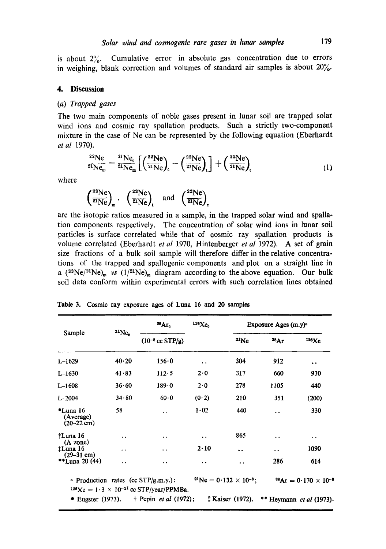is about  $2\%$ . Cumulative error in absolute gas concentration due to errors in weighing, blank correction and volumes of standard air samples is about 20%.

#### **4. Discussion**

#### *(a) Trapped gases*

The two main components of noble gases present in lunar soil are trapped solar wind ions and cosmic ray spallation products. Such a strictly two-component mixture in the case of Ne can be represented by the following equation (Eberhardt *et al* 1970).

$$
^{22}\text{Ne}_{2i}\text{Ne}_{m} = \frac{^{21}\text{Ne}_{c}}{^{21}\text{Ne}_{m}}\left[\left(\frac{^{22}\text{Ne}}{^{21}\text{Ne}}\right)_{c} - \left(\frac{^{22}\text{Ne}}{^{21}\text{Ne}}\right)_{t}\right] + \left(\frac{^{22}\text{Ne}}{^{21}\text{Ne}}\right)_{t} \tag{1}
$$

where

$$
\left(\frac{^{22}\text{Ne}}{^{21}\text{Ne}}\right)_m
$$
,  $\left(\frac{^{22}\text{Ne}}{^{21}\text{Ne}}\right)_t$  and  $\left(\frac{^{22}\text{Ne}}{^{21}\text{Ne}}\right)_t$ 

are the isotopic ratios measured in a sample, in the trapped solar wind and spallation components respectively. The concentration of solar wind ions in lunar soil particles is surface correlated while that of cosmic ray spallation products is volume correlated (Eberhardt *et al* 1970, Hintenberger *et al* 1972). A set of grain size fractions of a bulk soil sample will therefore differ in the relative concentrations of the trapped and spallogenic components and plot on a straight line in a  $({}^{22}\text{Ne}/{}^{21}\text{Ne})_{m}$  *vs*  $(1/{}^{21}\text{Ne})_{m}$  diagram according to the above equation. Our bulk soil data conform within experimental errors with such correlation lines obtained

| Sample                                                    | $21Ne_c$  | ${}^{38}\text{Ar}_\text{c}$                                                                               | $126Xe_c$            | Exposure Ages (m.y) <sup>a</sup>   |                      |                                           |
|-----------------------------------------------------------|-----------|-----------------------------------------------------------------------------------------------------------|----------------------|------------------------------------|----------------------|-------------------------------------------|
|                                                           |           | $(10^{-8} \text{ cc STP/g})$                                                                              |                      | $^{21}Ne$                          | ${}^{38}Ar$          | 126Xc                                     |
| $L-1629$                                                  | 40.20     | 156.0                                                                                                     | $\ddot{\phantom{1}}$ | 304                                | 912                  | $\bullet$                                 |
| $L-1630$                                                  | 41.83     | $112 - 5$                                                                                                 | 2.0                  | 317                                | 660                  | 930                                       |
| $L-1608$                                                  | 36.60     | $189 - 0$                                                                                                 | $2 \cdot 0$          | 278                                | 1105                 | 440                                       |
| L.2004                                                    | 34.80     | 60.0                                                                                                      | (0.2)                | 210                                | 351                  | (200)                                     |
| $^{\bullet}$ Luna 16<br>(Average)<br>$(20-22 \text{ cm})$ | 58        | $\ddot{\phantom{a}}$                                                                                      | 1.02                 | 440                                | . .                  | 330                                       |
| †Luna 16                                                  | . .       | $\ddot{\phantom{0}}$                                                                                      | $\cdot$ $\cdot$      | 865                                | $\ddot{\phantom{0}}$ | $\cdot$ .                                 |
| $(A \t{zone})$<br>†Luna 16                                | $\cdot$ . | . .                                                                                                       | 2.10                 |                                    | $\ddot{\phantom{1}}$ | 1090                                      |
| $(29-31$ cm)<br>**Luna 20 $(44)$                          | . .       | $\ddot{\phantom{0}}$                                                                                      | $\ddot{\phantom{0}}$ | . .                                | 286                  | 614                                       |
|                                                           |           | <b>Example 1</b> Production rates (cc $STP/g.m.y.$ ):<br>$126Xe = 1.3 \times 10^{-21}$ cc STP/year/PPMBa. |                      | $^{21}Ne = 0.132 \times 10^{-8}$ ; |                      | ${}^{88}\text{Ar} = 0.170 \times 10^{-8}$ |
| $\bullet$ Eugster (1973).                                 |           | $\dagger$ Pepin <i>et al</i> (1972);                                                                      |                      | <b>‡ Kaiser</b> (1972).            |                      | ** Heymann <i>et al</i> (1973).           |

**Table** 3. Cosmic ray exposure ages of Luna 16 and 20 **samples**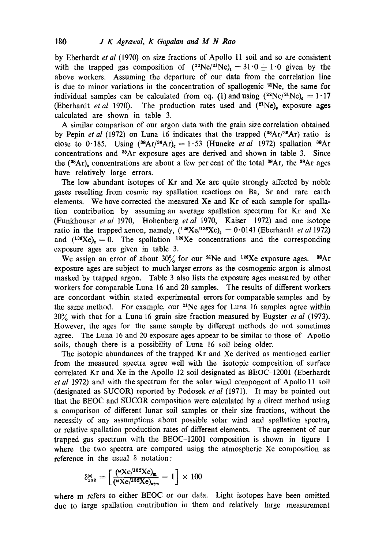by Eberhardt *et al* (1970) on size fractions of Apollo 11 soil and so are consistent with the trapped gas composition of  $(^{22}Ne)^{21}Ne$ ,  $= 31.0 \pm 1.0$  given by the above workers. Assuming the departure of our data from the correlation line is due to minor variations in the concentration of spallogenic  $2^1$ Ne, the same for individual samples can be calculated from eq. (1) and using  $(^{22}Ne/^{21}Ne)_e = 1.17$ (Eberhardt *et al* 1970). The production rates used and  $(^{21}Ne)_e$  exposure ages calculated are shown in table 3.

A similar comparison of our argon data with the grain size correlation obtained by Pepin *et al* (1972) on Luna 16 indicates that the trapped (<sup>38</sup>Ar/<sup>36</sup>Ar) ratio is close to 0.185. Using  $({}^{38}Ar/{}^{36}Ar)_{c} = 1.53$  (Huneke *et al* 1972) spallation  ${}^{38}Ar$ concentrations and 3SAr exposure ages are derived and shown in table 3. Since the ( $^{38}Ar$ ), concentrations are about a few per cent of the total  $^{38}Ar$ , the  $^{38}Ar$  ages have relatively large errors.

The low abundant isotopes of Kr and Xe are quite strongly affected by noble gases resulting from cosmic ray spallation reactions on Ba, Sr and rare earth elements. We have corrected the measured Xe and Kr of each sample for spallation contribution by assuming an average spallation spectrum for Kr and Xe (Funkhouser *et al* 1970, Hohenberg *et ai* 1970, Kaiser 1972) and one isotope ratio in the trapped xenon, namely,  $(^{126}Xe)^{136}Xe)$ <sub>t</sub> = 0.0141 (Eberhardt *et al* 1972) and  $(^{136}Xe)_c = 0$ . The spallation <sup>126</sup>Xe concentrations and the corresponding exposure ages are given in table 3.

We assign an error of about 30% for our <sup>21</sup>Ne and <sup>126</sup>Xe exposure ages. <sup>38</sup>Ar exposure ages are subject to much larger errors as the cosmogenic argon is almost masked by trapped argon. Table 3 also lists the exposure ages measured by other workers for comparable Luna 16 and 20 samples. The results of different workers are concordant within stated experimental errors for comparable samples and by the same method. For example, our <sup>21</sup>Ne ages for Luna 16 samples agree within 30~ with that for a Luna 16 grain size fraction measured by Eugster *et al* (1973). However, the ages for the same sample by different methods do not sometimes agree. The Luna 16 and 20 exposure ages appear to be similar to those of Apollo soils, though there is a possibility of Luna 16 soil being older.

The isotopic abundances of the trapped Kr and Xe derived as mentioned earlier from the measured spectra agree well with the isotopic composition of surface correlated Kr and Xe in the Apollo 12 soil designated as BEOC-12001 (Eberhardt *etal* 1972) and with the spectrum for the solar wind component of Apollo 11 soil (designated as SUCOR) reported by Podosek *et al* (1971). It may be pointed out that the BEOC and SUCOR composition were calculated by a direct method using a comparison of different lunar soil samples or their size fractions, without the necessity of any assumptions about possible solar wind and spallation spectra, or relative spallation production rates of different elements. The agreement of our trapped gas spectrum with the BEOC-12001 composition is shown in figure 1 where the two spectra are compared using the atmospheric Xe composition as reference in the usual  $\delta$  notation:

$$
\delta^{\text{M}}_{132} = \left[\frac{(\text{W}X\text{e}^{/132}X\text{e})_{\text{m}}}{(\text{W}X\text{e}^{/132}X\text{e})_{\text{atm}}} - 1\right] \times 100
$$

where m refers to either BEOC or our data. Light isotopes have been omitted due to large spallation contribution in them and relatively large measurement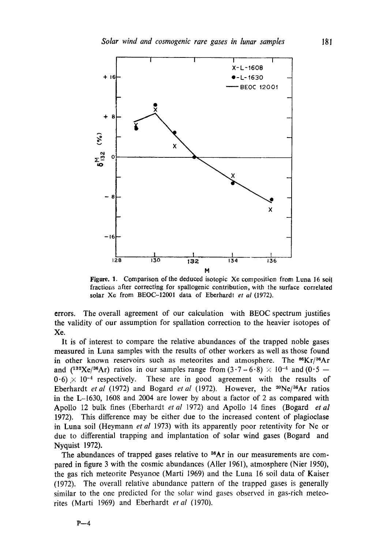

Figure. 1. Comparison of the deduced isotopic Xe composition from Luna 16 soil fractions after correcting for spallogenic contribution, with the surface correlated solar Xe from BEOC-12001 data of Eberhardt *et al* (1972).

errors. The overall agreement of our calculation with BEOC spectrum justifies the validity of our assumption for spallation correction to the heavier isotopes of Xe.

It is of interest to compare the relative abundances of the trapped noble gases measured in Luna samples with the results of other workers as well as those found in other known reservoirs such as meteorites and atmosphere. The  $^{86}Kr/^{36}Ar$ and (<sup>132</sup>Xe/<sup>36</sup>Ar) ratios in our samples range from  $(3.7-6.8) \times 10^{-4}$  and (0.5 -- $0.6 \times 10^{-4}$  respectively. These are in good agreement with the results of Eberhardt *et al* (1972) and Bogard *et al* (1972). However, the <sup>20</sup>Ne/<sup>36</sup>Ar ratios in the L-1630, 1608 and 2004 are lower by about a factor of 2 as compared with Apollo 12 bulk fines (Eberhardt *et al* 1972) and Apollo 14 fines (Bogard *etal*  1972). This difference may be either due to the increased content of plagioclase in Luna soil (Heymann *et al* 1973) with its apparently poor retentivity for Ne or due to differential trapping and implantation of solar wind gases (Bogard and Nyquist 1972).

The abundances of trapped gases relative to  $^{36}Ar$  in our measurements are compared in figure 3 with the cosmic abundances (Aller 1961), atmosphere (Nier 1950), the gas rich meteorite Pesyanoe (Marti 1969) and the Luna 16 soil data of Kaiser (1972). The overall relative abundance pattern of the trapped gases is generally similar to the one predicted for the solar wind gases observed in gas-rich meteorites (Marti 1969) and Eberhardt *et al* (1970).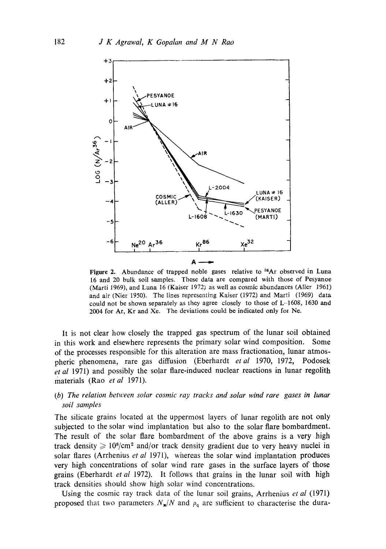

Figure 2. Abundance of trapped noble gases relative to <sup>36</sup>Ar observed in Luna 16 and 20 bulk soil samples. These data are compared with those of Pesyanoe (Marti 1969), and Luna 16 (Kaiser 1972) as well as cosmic abundances (Aller  $1961$ ) and air (Nier 1950). The lines represeating Kaiser (1972) and Marti (I969) data could not be shown separately as they agree closely to those of L-1608, 1630 and 2004 for Ar, Kr and Xe. The deviations could be indicated only for Ne.

It is not clear how closely the trapped gas spectrum of the lunar soil obtained in this work and elsewhere represents the primary solar wind composition. Some of the processes responsible for this alteration are mass fractionation, lunar atmospheric phenomena, rare gas diffusion (Eberhardt *etal* 1970, 1972, Podosek *et al* 1971) and possibly the solar flare-induced nuclear reactions in lunar regolith materials (Rao *etal* 1971).

## *~b) The relation between solar cosmic ray tracks and solar wind rare gases in hmar soil samples*

The silicate grains located at the uppermost layers of lunar regolith are not only subjected to the solar wind implantation but also to the solar flare bombardment. The result of the solar flare bombardment of the above grains is a very high track density  $\geq 10^8/cm^2$  and/or track density gradient due to very heavy nuclei in solar flares (Arrhenius *et al* 1971), whereas the solar wind implantation produces very high concentrations of solar wind rare gases in the surface layers of those grains (Eberhardt *et al* 1972). It follows that grains in the lunar soil with high track densities should show high solar wind concentrations.

Using the cosmic ray track data of the lunar soil grains, Arrhenius *et al* (1971) proposed that two parameters  $N_{\rm m}/N$  and  $\rho_{\rm q}$  are sufficient to characterise the dura-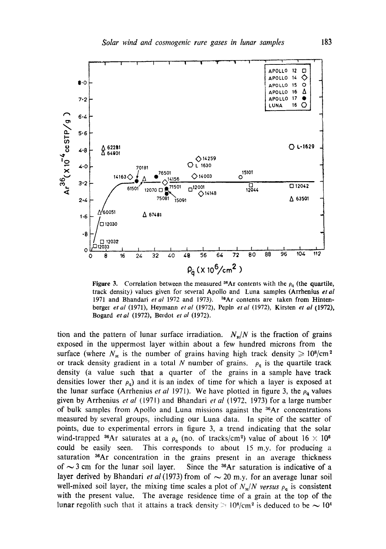

Figure 3. Correlation between the measured <sup>36</sup>Ar contents with the  $\rho_q$  (the quartile, track density) values given for sevezal Apollo and Luna samples (Arrhenius *et al*  1971 and Bhandari et al 1972 and 1973). <sup>38</sup>Ar contents are taken from Hintenberger *et al* (1971), Heymann *et al* (1972), Pepin *et al* (1972), Kirsten *et al* (1972), Bogard *etal* (1972), Berdot *et al* (1972).

tion and the pattern of lunar surface irradiation.  $N_{\rm H}/N$  is the fraction of grains exposed in the uppermost layer within about a few hundred microns from the surface (where  $N_{\rm H}$  is the number of grains having high track density  $\geqslant 10^8/\text{cm}^2$ or track density gradient in a total N number of grains.  $\rho_q$  is the quartile track density (a value such that a quarter of the grains in a sample have track densities lower ther  $\rho_q$ ) and it is an index of time for which a layer is exposed at the lunar surface (Arrhenius *et al* 1971). We have plotted in figure 3, the  $\rho_{q}$  values given by Arrhenius *et al (1971)* and Bhandari *et al* (1972, 1973) for a large number of bulk samples from Apollo and Luna missions against the <sup>36</sup>Ar concentrations measured by several groups, including our Luna data. In spite of the scatter of points, due to experimental errors in figure 3, a trend indicating that the solar wind-trapped <sup>36</sup>Ar saturates at a  $\rho_q$  (no. of tracks/cm<sup>2</sup>) value of about  $16 \times 10^6$ could be easily seen. This corresponds to about 15 m.y. for producing a saturation <sup>36</sup>Ar concentration in the grains present in an average thickness of  $\sim$  3 cm for the lunar soil layer. Since the <sup>36</sup>Ar saturation is indicative of a layer derived by Bhandari *et al* (1973) from of  $\sim$  20 m.y. for an average lunar soil well-mixed soil layer, the mixing time scales a plot of  $N_{\rm H}/N$  versus  $\rho_{\rm q}$  is consistent with the present value. The average residence time of a grain at the top of the lunar regolith such that it attains a track density  $> 10^{8}/\text{cm}^2$  is deduced to be  $\sim 10^{4}$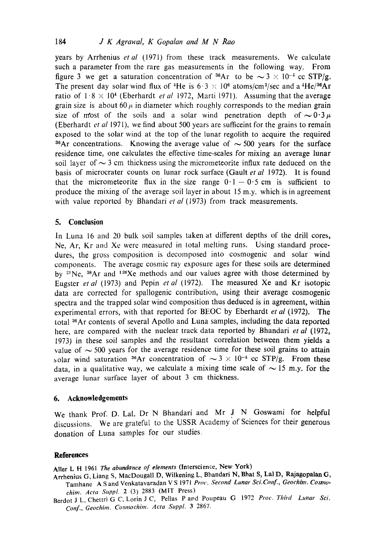years by Arrhenius *etal* (1971) from these track measurements. We calculate such a parameter from the rare gas measurements in the following way. From figure 3 we get a saturation concentration of <sup>36</sup>Ar to be  $\sim$  3  $\times$  10<sup>-4</sup> cc STP/g. The present day solar wind flux of <sup>4</sup>He is  $6.3 \times 10^6$  atoms/cm<sup>2</sup>/sec and a <sup>4</sup>He/<sup>36</sup>Ar ratio of  $1.8 \times 10^4$  (Eberhardt *et al* 1972, Marti 1971). Assuming that the average grain size is about 60  $\mu$  in diameter which roughly corresponds to the median grain size of most of the soils and a solar wind penetration depth of  $\sim 0.3 \mu$ (Eberhardt *et al* 1971), we find about 500 years are sufficeint for the grains to remain exposed to the solar wind at the top of the lunar regolith to acquire the required <sup>36</sup>Ar concentrations. Knowing the average value of  $\sim$  500 years for the surface residence time, one calculates the effective time-scales for mixing an average lunar soil layer of  $\sim$  3 cm thickness using the micrometeorite influx rate deduced on the basis of microcrater counts on lunar rock surface (Gault *et al* 1972). It is found that the micrometeorite flux in the size range  $0.1 - 0.5$  cm is sufficient to produce the mixing of the average soil layer in about 15 m.y. which is in agreement with value reported by Bhandari et al (1973) from track measurements.

#### **5. Conclusion**

In Luna 16 and 20 bulk soil samples taken at different depths of the drill cores, Ne, Ar, Kr and Xe were measured in total melting runs. Using standard procedures, the gross composition is decomposed into cosmogenic and solar wind components. The average cosmic ray exposure ages for these soils are determined by  $2^{1}Ne$ ,  $3^{8}Ar$  and  $1^{26}Xe$  methods and our values agree with those determined by Eugster *et al* (1973) and Pepin *et al* (1972). The measured Xe and Kr isotopic data are corrected for spallogenic contribution, using their average cosmogenic spectra and the trapped solar wind composition thus deduced is in agreement, within experimental errors, with that reported for BEOC by Eberhardt *et al* (1972). The total <sup>36</sup>Ar contents of several Apollo and Luna samples, including the data reported here, are compared with the nuclear track data reported by Bhandari *et al* (1972, 1973) in these soil samples and the resultant correlation between them yields a value of  $\sim$  500 years for the average residence time for these soil grains to attain solar wind saturation <sup>36</sup>Ar concentration of  $\sim 3 \times 10^{-4}$  cc STP/g. From these data, in a qualitative way, we calculate a mixing time scale of  $\sim$  15 m.y. for the average lunar surface layer of about 3 cm thickness.

### **6. Acknowledgements**

We thank Prof. D. Lal, Dr N Bhandari and Mr J N Goswami for helpful discussions. We are grateful to the USSR Academy of Sciences for their generous donation of Luna samples for our studies.

#### **References**

Aller L H 1961 The abundance of elements (Interscience, New York)

- Arrhenius G, Liang **S, MacDougall D, Wilkening L, Bhandari N, Bhat S, Lal D, Rajagopalan G,**  Tamhane A S and Venkatavaradan V S 1971 Proc. Second Lunar Sci.Conf., Geochim. Cosmo*chim. Acta Suppl.* 2 (3) 2883 (MIT Press)
- Berdot J L, Chettri G C, Lorin J C, Pellas Pard Poupeau G 1972 *Proc. Thh'd Lunar Sci. Conf., Geochim. Cosmochim. Acta Suppl.* 3 2867.